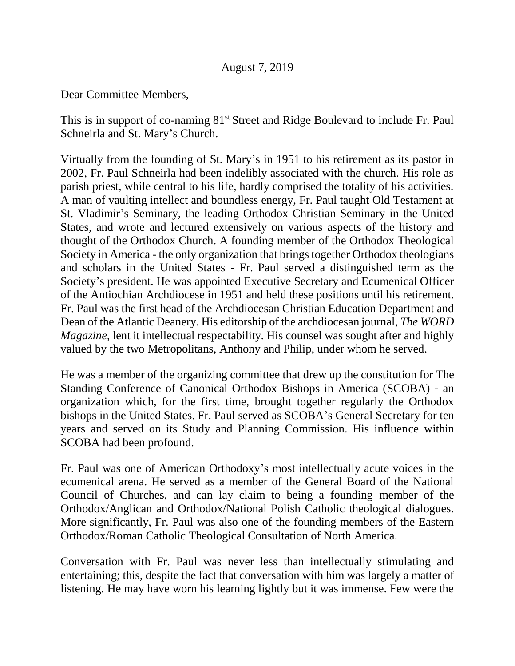## August 7, 2019

Dear Committee Members,

This is in support of co-naming 81<sup>st</sup> Street and Ridge Boulevard to include Fr. Paul Schneirla and St. Mary's Church.

Virtually from the founding of St. Mary's in 1951 to his retirement as its pastor in 2002, Fr. Paul Schneirla had been indelibly associated with the church. His role as parish priest, while central to his life, hardly comprised the totality of his activities. A man of vaulting intellect and boundless energy, Fr. Paul taught Old Testament at St. Vladimir's Seminary, the leading Orthodox Christian Seminary in the United States, and wrote and lectured extensively on various aspects of the history and thought of the Orthodox Church. A founding member of the Orthodox Theological Society in America - the only organization that brings together Orthodox theologians and scholars in the United States - Fr. Paul served a distinguished term as the Society's president. He was appointed Executive Secretary and Ecumenical Officer of the Antiochian Archdiocese in 1951 and held these positions until his retirement. Fr. Paul was the first head of the Archdiocesan Christian Education Department and Dean of the Atlantic Deanery. His editorship of the archdiocesan journal, *The WORD Magazine*, lent it intellectual respectability. His counsel was sought after and highly valued by the two Metropolitans, Anthony and Philip, under whom he served.

He was a member of the organizing committee that drew up the constitution for The Standing Conference of Canonical Orthodox Bishops in America (SCOBA) - an organization which, for the first time, brought together regularly the Orthodox bishops in the United States. Fr. Paul served as SCOBA's General Secretary for ten years and served on its Study and Planning Commission. His influence within SCOBA had been profound.

Fr. Paul was one of American Orthodoxy's most intellectually acute voices in the ecumenical arena. He served as a member of the General Board of the National Council of Churches, and can lay claim to being a founding member of the Orthodox/Anglican and Orthodox/National Polish Catholic theological dialogues. More significantly, Fr. Paul was also one of the founding members of the Eastern Orthodox/Roman Catholic Theological Consultation of North America.

Conversation with Fr. Paul was never less than intellectually stimulating and entertaining; this, despite the fact that conversation with him was largely a matter of listening. He may have worn his learning lightly but it was immense. Few were the